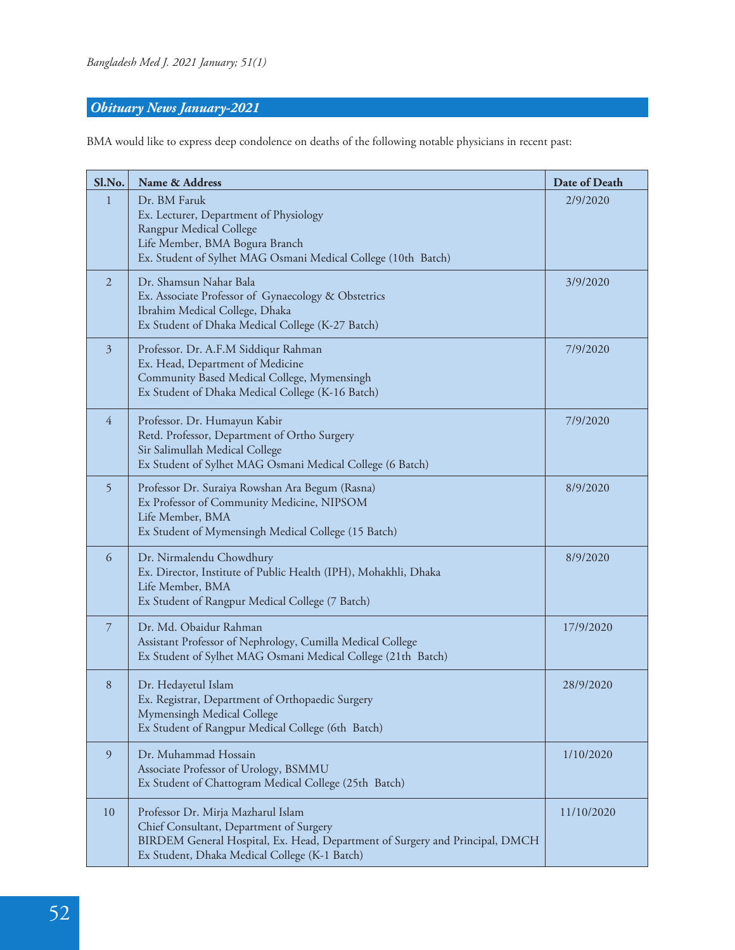## *Obituary News January-2021*

BMA would like to express deep condolence on deaths of the following notable physicians in recent past:

| Sl.No.         | Name & Address                                                                                                                                                                                                 | Date of Death |
|----------------|----------------------------------------------------------------------------------------------------------------------------------------------------------------------------------------------------------------|---------------|
| 1              | Dr. BM Faruk<br>Ex. Lecturer, Department of Physiology<br>Rangpur Medical College<br>Life Member, BMA Bogura Branch<br>Ex. Student of Sylhet MAG Osmani Medical College (10th Batch)                           | 2/9/2020      |
| 2              | Dr. Shamsun Nahar Bala<br>Ex. Associate Professor of Gynaecology & Obstetrics<br>Ibrahim Medical College, Dhaka<br>Ex Student of Dhaka Medical College (K-27 Batch)                                            | 3/9/2020      |
| 3              | Professor. Dr. A.F.M Siddiqur Rahman<br>Ex. Head, Department of Medicine<br>Community Based Medical College, Mymensingh<br>Ex Student of Dhaka Medical College (K-16 Batch)                                    | 7/9/2020      |
| $\overline{4}$ | Professor. Dr. Humayun Kabir<br>Retd. Professor, Department of Ortho Surgery<br>Sir Salimullah Medical College<br>Ex Student of Sylhet MAG Osmani Medical College (6 Batch)                                    | 7/9/2020      |
| 5              | Professor Dr. Suraiya Rowshan Ara Begum (Rasna)<br>Ex Professor of Community Medicine, NIPSOM<br>Life Member, BMA<br>Ex Student of Mymensingh Medical College (15 Batch)                                       | 8/9/2020      |
| 6              | Dr. Nirmalendu Chowdhury<br>Ex. Director, Institute of Public Health (IPH), Mohakhli, Dhaka<br>Life Member, BMA<br>Ex Student of Rangpur Medical College (7 Batch)                                             | 8/9/2020      |
| 7              | Dr. Md. Obaidur Rahman<br>Assistant Professor of Nephrology, Cumilla Medical College<br>Ex Student of Sylhet MAG Osmani Medical College (21th Batch)                                                           | 17/9/2020     |
| 8              | Dr. Hedayetul Islam<br>Ex. Registrar, Department of Orthopaedic Surgery<br>Mymensingh Medical College<br>Ex Student of Rangpur Medical College (6th Batch)                                                     | 28/9/2020     |
| 9              | Dr. Muhammad Hossain<br>Associate Professor of Urology, BSMMU<br>Ex Student of Chattogram Medical College (25th Batch)                                                                                         | 1/10/2020     |
| 10             | Professor Dr. Mirja Mazharul Islam<br>Chief Consultant, Department of Surgery<br>BIRDEM General Hospital, Ex. Head, Department of Surgery and Principal, DMCH<br>Ex Student, Dhaka Medical College (K-1 Batch) | 11/10/2020    |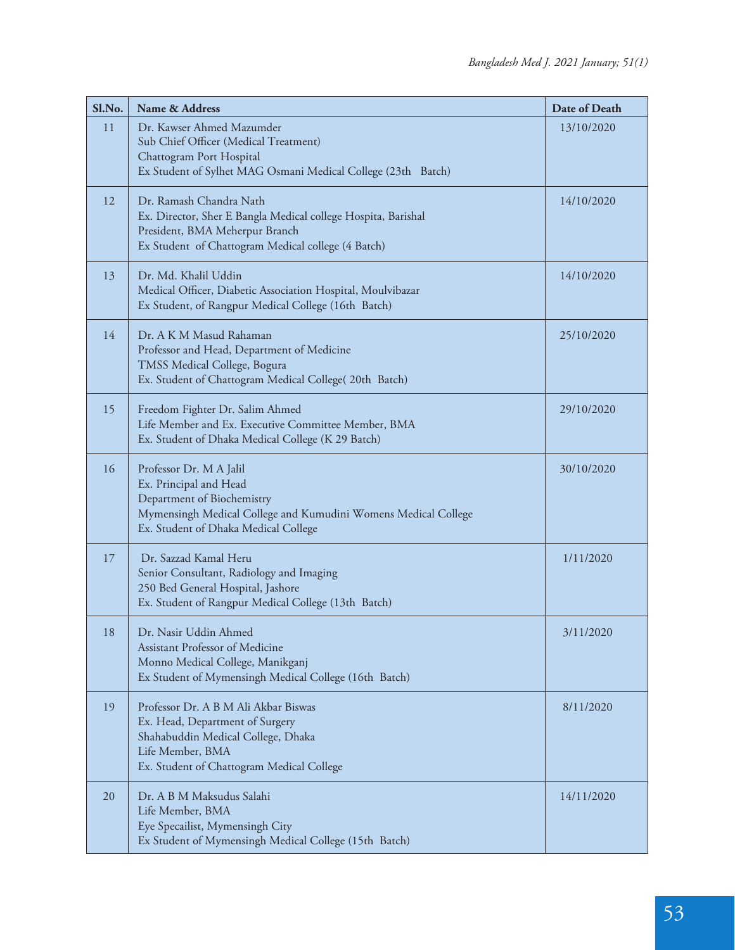| Sl.No. | Name & Address                                                                                                                                                                            | Date of Death |
|--------|-------------------------------------------------------------------------------------------------------------------------------------------------------------------------------------------|---------------|
| 11     | Dr. Kawser Ahmed Mazumder<br>Sub Chief Officer (Medical Treatment)<br>Chattogram Port Hospital<br>Ex Student of Sylhet MAG Osmani Medical College (23th Batch)                            | 13/10/2020    |
|        |                                                                                                                                                                                           |               |
| 12     | Dr. Ramash Chandra Nath<br>Ex. Director, Sher E Bangla Medical college Hospita, Barishal<br>President, BMA Meherpur Branch<br>Ex Student of Chattogram Medical college (4 Batch)          | 14/10/2020    |
| 13     | Dr. Md. Khalil Uddin<br>Medical Officer, Diabetic Association Hospital, Moulvibazar<br>Ex Student, of Rangpur Medical College (16th Batch)                                                | 14/10/2020    |
| 14     | Dr. A K M Masud Rahaman<br>Professor and Head, Department of Medicine<br>TMSS Medical College, Bogura<br>Ex. Student of Chattogram Medical College(20th Batch)                            | 25/10/2020    |
| 15     | Freedom Fighter Dr. Salim Ahmed<br>Life Member and Ex. Executive Committee Member, BMA<br>Ex. Student of Dhaka Medical College (K 29 Batch)                                               | 29/10/2020    |
| 16     | Professor Dr. M A Jalil<br>Ex. Principal and Head<br>Department of Biochemistry<br>Mymensingh Medical College and Kumudini Womens Medical College<br>Ex. Student of Dhaka Medical College | 30/10/2020    |
| 17     | Dr. Sazzad Kamal Heru<br>Senior Consultant, Radiology and Imaging<br>250 Bed General Hospital, Jashore<br>Ex. Student of Rangpur Medical College (13th Batch)                             | 1/11/2020     |
| 18     | Dr. Nasir Uddin Ahmed<br>Assistant Professor of Medicine<br>Monno Medical College, Manikganj<br>Ex Student of Mymensingh Medical College (16th Batch)                                     | 3/11/2020     |
| 19     | Professor Dr. A B M Ali Akbar Biswas<br>Ex. Head, Department of Surgery<br>Shahabuddin Medical College, Dhaka<br>Life Member, BMA<br>Ex. Student of Chattogram Medical College            | 8/11/2020     |
| 20     | Dr. A B M Maksudus Salahi<br>Life Member, BMA<br>Eye Specailist, Mymensingh City<br>Ex Student of Mymensingh Medical College (15th Batch)                                                 | 14/11/2020    |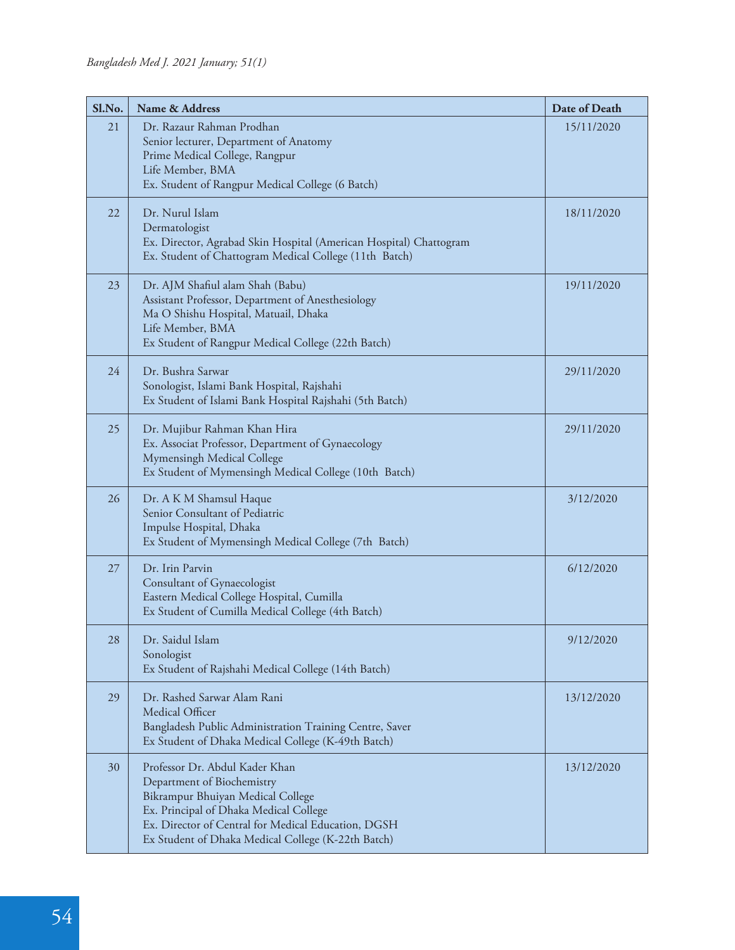| Sl.No. | Name & Address                                                                                                                                                                                                                                           | Date of Death |
|--------|----------------------------------------------------------------------------------------------------------------------------------------------------------------------------------------------------------------------------------------------------------|---------------|
| 21     | Dr. Razaur Rahman Prodhan<br>Senior lecturer, Department of Anatomy<br>Prime Medical College, Rangpur<br>Life Member, BMA<br>Ex. Student of Rangpur Medical College (6 Batch)                                                                            | 15/11/2020    |
| 22     | Dr. Nurul Islam<br>Dermatologist<br>Ex. Director, Agrabad Skin Hospital (American Hospital) Chattogram<br>Ex. Student of Chattogram Medical College (11th Batch)                                                                                         | 18/11/2020    |
| 23     | Dr. AJM Shafiul alam Shah (Babu)<br>Assistant Professor, Department of Anesthesiology<br>Ma O Shishu Hospital, Matuail, Dhaka<br>Life Member, BMA<br>Ex Student of Rangpur Medical College (22th Batch)                                                  | 19/11/2020    |
| 24     | Dr. Bushra Sarwar<br>Sonologist, Islami Bank Hospital, Rajshahi<br>Ex Student of Islami Bank Hospital Rajshahi (5th Batch)                                                                                                                               | 29/11/2020    |
| 25     | Dr. Mujibur Rahman Khan Hira<br>Ex. Associat Professor, Department of Gynaecology<br>Mymensingh Medical College<br>Ex Student of Mymensingh Medical College (10th Batch)                                                                                 | 29/11/2020    |
| 26     | Dr. A K M Shamsul Haque<br>Senior Consultant of Pediatric<br>Impulse Hospital, Dhaka<br>Ex Student of Mymensingh Medical College (7th Batch)                                                                                                             | 3/12/2020     |
| 27     | Dr. Irin Parvin<br>Consultant of Gynaecologist<br>Eastern Medical College Hospital, Cumilla<br>Ex Student of Cumilla Medical College (4th Batch)                                                                                                         | 6/12/2020     |
| 28     | Dr. Saidul Islam<br>Sonologist<br>Ex Student of Rajshahi Medical College (14th Batch)                                                                                                                                                                    | 9/12/2020     |
| 29     | Dr. Rashed Sarwar Alam Rani<br>Medical Officer<br>Bangladesh Public Administration Training Centre, Saver<br>Ex Student of Dhaka Medical College (K-49th Batch)                                                                                          | 13/12/2020    |
| 30     | Professor Dr. Abdul Kader Khan<br>Department of Biochemistry<br>Bikrampur Bhuiyan Medical College<br>Ex. Principal of Dhaka Medical College<br>Ex. Director of Central for Medical Education, DGSH<br>Ex Student of Dhaka Medical College (K-22th Batch) | 13/12/2020    |